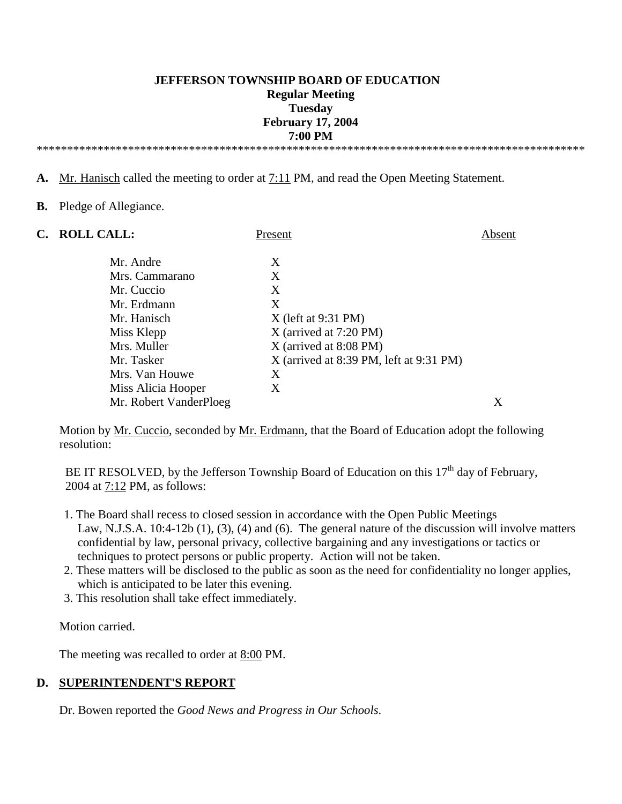#### **JEFFERSON TOWNSHIP BOARD OF EDUCATION Regular Meeting Tuesday February 17, 2004 7:00 PM**  \*\*\*\*\*\*\*\*\*\*\*\*\*\*\*\*\*\*\*\*\*\*\*\*\*\*\*\*\*\*\*\*\*\*\*\*\*\*\*\*\*\*\*\*\*\*\*\*\*\*\*\*\*\*\*\*\*\*\*\*\*\*\*\*\*\*\*\*\*\*\*\*\*\*\*\*\*\*\*\*\*\*\*\*\*\*\*\*\*\*

**A.** Mr. Hanisch called the meeting to order at 7:11 PM, and read the Open Meeting Statement.

**B.** Pledge of Allegiance.

| C. ROLL CALL:          | Present                                   | Absent |
|------------------------|-------------------------------------------|--------|
| Mr. Andre              | Χ                                         |        |
| Mrs. Cammarano         | Χ                                         |        |
| Mr. Cuccio             | X                                         |        |
| Mr. Erdmann            | X                                         |        |
| Mr. Hanisch            | $X$ (left at 9:31 PM)                     |        |
| Miss Klepp             | $X$ (arrived at 7:20 PM)                  |        |
| Mrs. Muller            | $X$ (arrived at 8:08 PM)                  |        |
| Mr. Tasker             | $X$ (arrived at 8:39 PM, left at 9:31 PM) |        |
| Mrs. Van Houwe         | Χ                                         |        |
| Miss Alicia Hooper     | Χ                                         |        |
| Mr. Robert VanderPloeg |                                           |        |

 Motion by Mr. Cuccio, seconded by Mr. Erdmann, that the Board of Education adopt the following resolution:

BE IT RESOLVED, by the Jefferson Township Board of Education on this  $17<sup>th</sup>$  day of February, 2004 at 7:12 PM, as follows:

- 1. The Board shall recess to closed session in accordance with the Open Public Meetings Law, N.J.S.A. 10:4-12b (1), (3), (4) and (6). The general nature of the discussion will involve matters confidential by law, personal privacy, collective bargaining and any investigations or tactics or techniques to protect persons or public property. Action will not be taken.
- 2. These matters will be disclosed to the public as soon as the need for confidentiality no longer applies, which is anticipated to be later this evening.
- 3. This resolution shall take effect immediately.

Motion carried.

The meeting was recalled to order at  $8:00$  PM.

# **D. SUPERINTENDENT'S REPORT**

Dr. Bowen reported the *Good News and Progress in Our Schools*.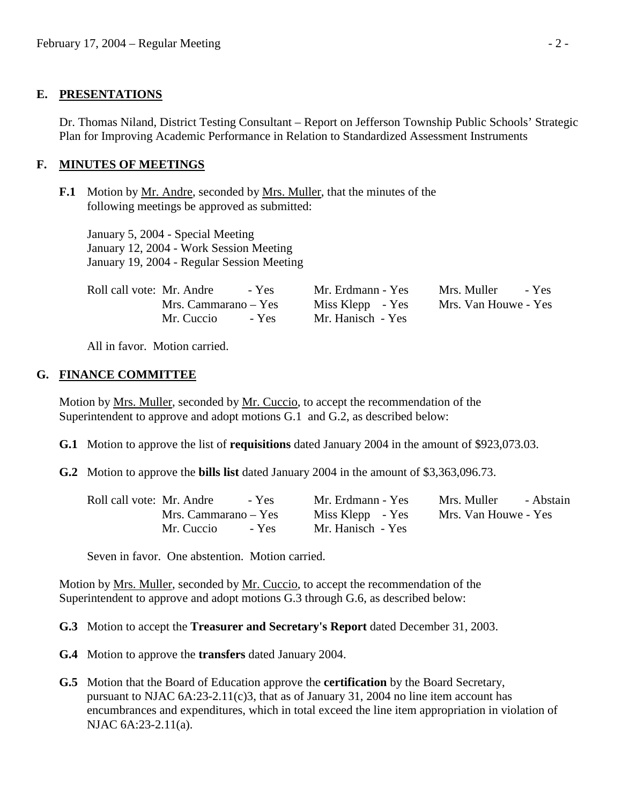## **E. PRESENTATIONS**

Dr. Thomas Niland, District Testing Consultant – Report on Jefferson Township Public Schools' Strategic Plan for Improving Academic Performance in Relation to Standardized Assessment Instruments

#### **F. MINUTES OF MEETINGS**

**F.1** Motion by Mr. Andre, seconded by Mrs. Muller, that the minutes of the following meetings be approved as submitted:

 January 5, 2004 - Special Meeting January 12, 2004 - Work Session Meeting January 19, 2004 - Regular Session Meeting

| Roll call vote: Mr. Andre<br>- Yes | Mr. Erdmann - Yes | Mrs. Muller - Yes    |
|------------------------------------|-------------------|----------------------|
| Mrs. Cammarano – Yes               | Miss Klepp - Yes  | Mrs. Van Houwe - Yes |
| - Yes<br>Mr. Cuccio                | Mr. Hanisch - Yes |                      |

All in favor. Motion carried.

#### **G. FINANCE COMMITTEE**

 Motion by Mrs. Muller, seconded by Mr. Cuccio, to accept the recommendation of the Superintendent to approve and adopt motions G.1 and G.2, as described below:

- **G.1** Motion to approve the list of **requisitions** dated January 2004 in the amount of \$923,073.03.
- **G.2** Motion to approve the **bills list** dated January 2004 in the amount of \$3,363,096.73.

| Roll call vote: Mr. Andre<br>- Yes | Mr. Erdmann - Yes | Mrs. Muller<br>- Abstain |
|------------------------------------|-------------------|--------------------------|
| Mrs. Cammarano – Yes               | Miss Klepp - Yes  | Mrs. Van Houwe - Yes     |
| - Yes<br>Mr. Cuccio                | Mr. Hanisch - Yes |                          |

Seven in favor. One abstention. Motion carried.

Motion by <u>Mrs. Muller</u>, seconded by <u>Mr. Cuccio</u>, to accept the recommendation of the Superintendent to approve and adopt motions G.3 through G.6, as described below:

**G.3** Motion to accept the **Treasurer and Secretary's Report** dated December 31, 2003.

- **G.4** Motion to approve the **transfers** dated January 2004.
- **G.5** Motion that the Board of Education approve the **certification** by the Board Secretary, pursuant to NJAC  $6A:23-2.11(c)3$ , that as of January 31, 2004 no line item account has encumbrances and expenditures, which in total exceed the line item appropriation in violation of NJAC 6A:23-2.11(a).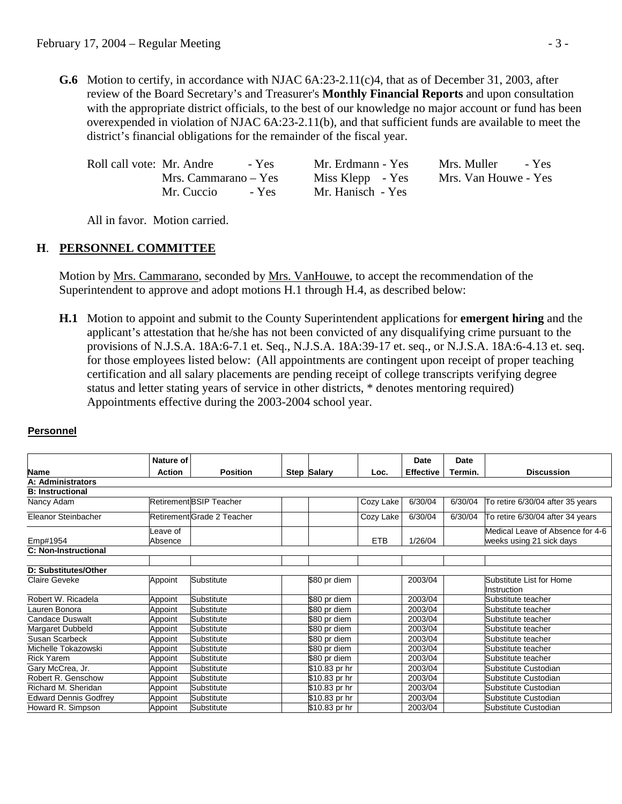**G.6** Motion to certify, in accordance with NJAC 6A:23-2.11(c)4, that as of December 31, 2003, after review of the Board Secretary's and Treasurer's **Monthly Financial Reports** and upon consultation with the appropriate district officials, to the best of our knowledge no major account or fund has been overexpended in violation of NJAC 6A:23-2.11(b), and that sufficient funds are available to meet the district's financial obligations for the remainder of the fiscal year.

| Roll call vote: Mr. Andre<br>- Yes | Mr. Erdmann - Yes | Mrs. Muller - Yes    |
|------------------------------------|-------------------|----------------------|
| Mrs. Cammarano – Yes               | Miss Klepp - Yes  | Mrs. Van Houwe - Yes |
| Mr. Cuccio<br>- Yes                | Mr. Hanisch - Yes |                      |

All in favor. Motion carried.

# **H**. **PERSONNEL COMMITTEE**

Motion by Mrs. Cammarano, seconded by Mrs. VanHouwe, to accept the recommendation of the Superintendent to approve and adopt motions H.1 through H.4, as described below:

 **H.1** Motion to appoint and submit to the County Superintendent applications for **emergent hiring** and the applicant's attestation that he/she has not been convicted of any disqualifying crime pursuant to the provisions of N.J.S.A. 18A:6-7.1 et. Seq., N.J.S.A. 18A:39-17 et. seq., or N.J.S.A. 18A:6-4.13 et. seq. for those employees listed below: (All appointments are contingent upon receipt of proper teaching certification and all salary placements are pending receipt of college transcripts verifying degree status and letter stating years of service in other districts, \* denotes mentoring required) Appointments effective during the 2003-2004 school year.

#### **Personnel**

|                              | Nature of          |                            |                    |            | Date             | <b>Date</b> |                                                              |
|------------------------------|--------------------|----------------------------|--------------------|------------|------------------|-------------|--------------------------------------------------------------|
| Name                         | <b>Action</b>      | <b>Position</b>            | <b>Step Salary</b> | Loc.       | <b>Effective</b> | Termin.     | <b>Discussion</b>                                            |
| A: Administrators            |                    |                            |                    |            |                  |             |                                                              |
| <b>B: Instructional</b>      |                    |                            |                    |            |                  |             |                                                              |
| Nancy Adam                   |                    | Retirement BSIP Teacher    |                    | Cozy Lake  | 6/30/04          | 6/30/04     | To retire 6/30/04 after 35 years                             |
| Eleanor Steinbacher          |                    | Retirement Grade 2 Teacher |                    | Cozy Lake  | 6/30/04          | 6/30/04     | To retire 6/30/04 after 34 years                             |
| Emp#1954                     | eave of<br>Absence |                            |                    | <b>ETB</b> | 1/26/04          |             | Medical Leave of Absence for 4-6<br>weeks using 21 sick days |
| <b>C: Non-Instructional</b>  |                    |                            |                    |            |                  |             |                                                              |
|                              |                    |                            |                    |            |                  |             |                                                              |
| D: Substitutes/Other         |                    |                            |                    |            |                  |             |                                                              |
| Claire Geveke                | Appoint            | Substitute                 | \$80 pr diem       |            | 2003/04          |             | Substitute List for Home<br>Instruction                      |
| Robert W. Ricadela           | Appoint            | Substitute                 | \$80 pr diem       |            | 2003/04          |             | Substitute teacher                                           |
| Lauren Bonora                | Appoint            | Substitute                 | \$80 pr diem       |            | 2003/04          |             | Substitute teacher                                           |
| <b>Candace Duswalt</b>       | Appoint            | Substitute                 | \$80 pr diem       |            | 2003/04          |             | Substitute teacher                                           |
| Margaret Dubbeld             | Appoint            | Substitute                 | \$80 pr diem       |            | 2003/04          |             | Substitute teacher                                           |
| Susan Scarbeck               | Appoint            | Substitute                 | \$80 pr diem       |            | 2003/04          |             | Substitute teacher                                           |
| Michelle Tokazowski          | Appoint            | Substitute                 | \$80 pr diem       |            | 2003/04          |             | Substitute teacher                                           |
| <b>Rick Yarem</b>            | Appoint            | Substitute                 | \$80 pr diem       |            | 2003/04          |             | Substitute teacher                                           |
| Gary McCrea, Jr.             | Appoint            | Substitute                 | \$10.83 pr hr      |            | 2003/04          |             | Substitute Custodian                                         |
| Robert R. Genschow           | Appoint            | Substitute                 | \$10.83 pr hr      |            | 2003/04          |             | Substitute Custodian                                         |
| Richard M. Sheridan          | Appoint            | Substitute                 | \$10.83 pr hr      |            | 2003/04          |             | Substitute Custodian                                         |
| <b>Edward Dennis Godfrey</b> | Appoint            | Substitute                 | \$10.83 pr hr      |            | 2003/04          |             | Substitute Custodian                                         |
| Howard R. Simpson            | Appoint            | Substitute                 | \$10.83 pr hr      |            | 2003/04          |             | Substitute Custodian                                         |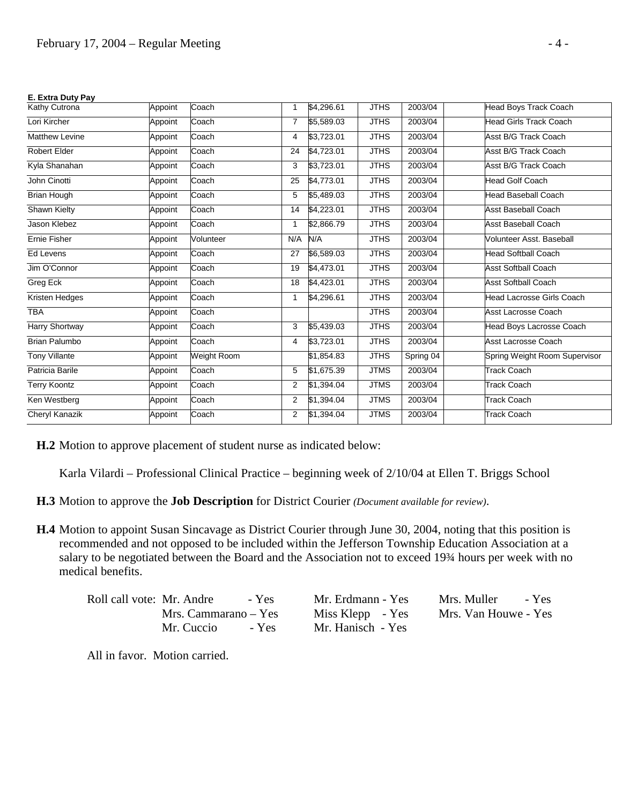| E. Extra Duty Pay    |         |             |              |            |             |           |                                  |
|----------------------|---------|-------------|--------------|------------|-------------|-----------|----------------------------------|
| Kathy Cutrona        | Appoint | Coach       | 1            | \$4,296.61 | <b>JTHS</b> | 2003/04   | Head Boys Track Coach            |
| Lori Kircher         | Appoint | Coach       | 7            | \$5,589.03 | <b>JTHS</b> | 2003/04   | <b>Head Girls Track Coach</b>    |
| Matthew Levine       | Appoint | Coach       | 4            | \$3,723.01 | <b>JTHS</b> | 2003/04   | Asst B/G Track Coach             |
| Robert Elder         | Appoint | Coach       | 24           | \$4,723.01 | <b>JTHS</b> | 2003/04   | <b>Asst B/G Track Coach</b>      |
| Kyla Shanahan        | Appoint | Coach       | 3            | \$3,723.01 | <b>JTHS</b> | 2003/04   | <b>Asst B/G Track Coach</b>      |
| John Cinotti         | Appoint | Coach       | 25           | \$4.773.01 | <b>JTHS</b> | 2003/04   | <b>Head Golf Coach</b>           |
| <b>Brian Hough</b>   | Appoint | Coach       | 5            | \$5,489.03 | <b>JTHS</b> | 2003/04   | Head Baseball Coach              |
| Shawn Kielty         | Appoint | Coach       | 14           | \$4,223.01 | <b>JTHS</b> | 2003/04   | Asst Baseball Coach              |
| Jason Klebez         | Appoint | Coach       | 1            | \$2,866.79 | <b>JTHS</b> | 2003/04   | <b>Asst Baseball Coach</b>       |
| Ernie Fisher         | Appoint | Volunteer   | N/A          | N/A        | <b>JTHS</b> | 2003/04   | Volunteer Asst. Baseball         |
| Ed Levens            | Appoint | Coach       | 27           | \$6,589.03 | <b>JTHS</b> | 2003/04   | <b>Head Softball Coach</b>       |
| Jim O'Connor         | Appoint | Coach       | 19           | \$4,473.01 | <b>JTHS</b> | 2003/04   | <b>Asst Softball Coach</b>       |
| Greg Eck             | Appoint | Coach       | 18           | \$4,423.01 | <b>JTHS</b> | 2003/04   | <b>Asst Softball Coach</b>       |
| Kristen Hedges       | Appoint | Coach       | $\mathbf{1}$ | \$4,296.61 | <b>JTHS</b> | 2003/04   | <b>Head Lacrosse Girls Coach</b> |
| <b>TBA</b>           | Appoint | Coach       |              |            | <b>JTHS</b> | 2003/04   | Asst Lacrosse Coach              |
| Harry Shortway       | Appoint | Coach       | 3            | \$5,439.03 | <b>JTHS</b> | 2003/04   | <b>Head Boys Lacrosse Coach</b>  |
| <b>Brian Palumbo</b> | Appoint | Coach       | 4            | \$3,723.01 | <b>JTHS</b> | 2003/04   | <b>Asst Lacrosse Coach</b>       |
| <b>Tony Villante</b> | Appoint | Weight Room |              | \$1,854.83 | <b>JTHS</b> | Spring 04 | Spring Weight Room Supervisor    |
| Patricia Barile      | Appoint | Coach       | 5            | \$1,675.39 | <b>JTMS</b> | 2003/04   | <b>Track Coach</b>               |
| <b>Terry Koontz</b>  | Appoint | Coach       | 2            | \$1,394.04 | <b>JTMS</b> | 2003/04   | Track Coach                      |
| Ken Westberg         | Appoint | Coach       | 2            | \$1,394.04 | <b>JTMS</b> | 2003/04   | <b>Track Coach</b>               |
| Cheryl Kanazik       | Appoint | Coach       | 2            | \$1,394.04 | <b>JTMS</b> | 2003/04   | <b>Track Coach</b>               |

**H.2** Motion to approve placement of student nurse as indicated below:

Karla Vilardi – Professional Clinical Practice – beginning week of 2/10/04 at Ellen T. Briggs School

**H.3** Motion to approve the **Job Description** for District Courier *(Document available for review)*.

**H.4** Motion to appoint Susan Sincavage as District Courier through June 30, 2004, noting that this position is recommended and not opposed to be included within the Jefferson Township Education Association at a salary to be negotiated between the Board and the Association not to exceed 19<sup>3</sup>/4 hours per week with no medical benefits.

| Roll call vote: Mr. Andre<br>- Yes | Mr. Erdmann - Yes | Mrs. Muller<br>- Yes |
|------------------------------------|-------------------|----------------------|
| Mrs. Cammarano – Yes               | Miss Klepp - Yes  | Mrs. Van Houwe - Yes |
| - Yes<br>Mr. Cuccio                | Mr. Hanisch - Yes |                      |

All in favor. Motion carried.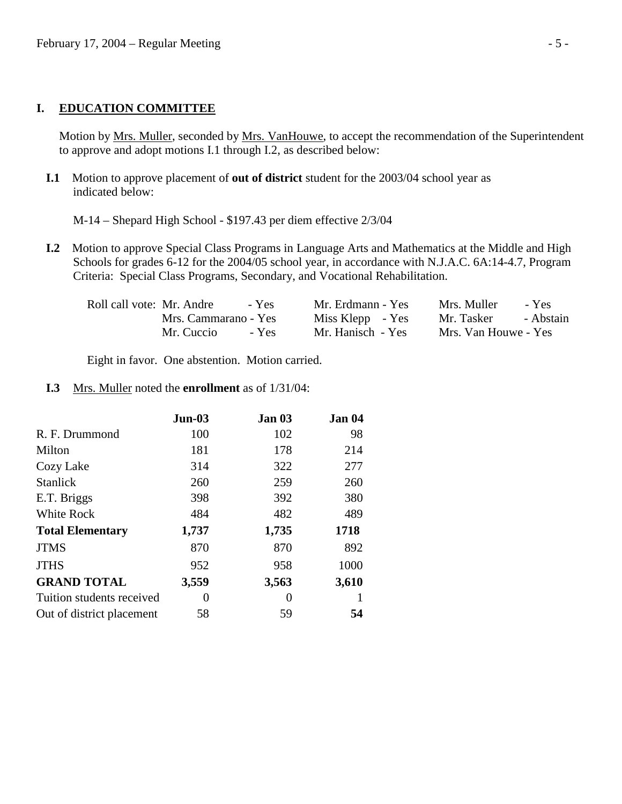# **I. EDUCATION COMMITTEE**

Motion by <u>Mrs. Muller</u>, seconded by <u>Mrs. VanHouwe</u>, to accept the recommendation of the Superintendent to approve and adopt motions I.1 through I.2, as described below:

**I.1** Motion to approve placement of **out of district** student for the 2003/04 school year as indicated below:

M-14 – Shepard High School - \$197.43 per diem effective 2/3/04

**I.2** Motion to approve Special Class Programs in Language Arts and Mathematics at the Middle and High Schools for grades 6-12 for the 2004/05 school year, in accordance with N.J.A.C. 6A:14-4.7, Program Criteria: Special Class Programs, Secondary, and Vocational Rehabilitation.

| Roll call vote: Mr. Andre<br>- Yes | Mr. Erdmann - Yes | Mrs. Muller<br>- Yes    |
|------------------------------------|-------------------|-------------------------|
| Mrs. Cammarano - Yes               | Miss Klepp - Yes  | Mr. Tasker<br>- Abstain |
| Mr. Cuccio<br>- Yes                | Mr. Hanisch - Yes | Mrs. Van Houwe - Yes    |

Eight in favor. One abstention. Motion carried.

 **I.3** Mrs. Muller noted the **enrollment** as of 1/31/04:

|                           | $Jun-03$ | Jan 03   | Jan 04 |
|---------------------------|----------|----------|--------|
| R. F. Drummond            | 100      | 102      | 98     |
| Milton                    | 181      | 178      | 214    |
| Cozy Lake                 | 314      | 322      | 277    |
| <b>Stanlick</b>           | 260      | 259      | 260    |
| E.T. Briggs               | 398      | 392      | 380    |
| White Rock                | 484      | 482      | 489    |
| <b>Total Elementary</b>   | 1,737    | 1,735    | 1718   |
| <b>JTMS</b>               | 870      | 870      | 892    |
| <b>JTHS</b>               | 952      | 958      | 1000   |
| <b>GRAND TOTAL</b>        | 3,559    | 3,563    | 3,610  |
| Tuition students received | 0        | $\Omega$ |        |
| Out of district placement | 58       | 59       | 54     |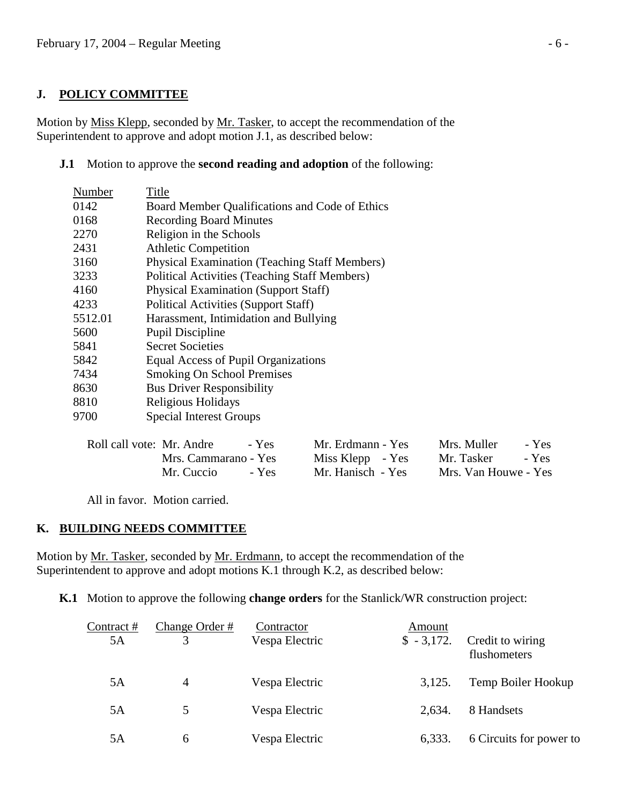# **J. POLICY COMMITTEE**

Motion by Miss Klepp, seconded by Mr. Tasker, to accept the recommendation of the Superintendent to approve and adopt motion J.1, as described below:

### **J.1** Motion to approve the **second reading and adoption** of the following:

| Number  | Title                                                |
|---------|------------------------------------------------------|
| 0142    | Board Member Qualifications and Code of Ethics       |
| 0168    | <b>Recording Board Minutes</b>                       |
| 2270    | Religion in the Schools                              |
| 2431    | <b>Athletic Competition</b>                          |
| 3160    | <b>Physical Examination (Teaching Staff Members)</b> |
| 3233    | <b>Political Activities (Teaching Staff Members)</b> |
| 4160    | <b>Physical Examination (Support Staff)</b>          |
| 4233    | <b>Political Activities (Support Staff)</b>          |
| 5512.01 | Harassment, Intimidation and Bullying                |
| 5600    | <b>Pupil Discipline</b>                              |
| 5841    | <b>Secret Societies</b>                              |
| 5842    | <b>Equal Access of Pupil Organizations</b>           |
| 7434    | <b>Smoking On School Premises</b>                    |
| 8630    | <b>Bus Driver Responsibility</b>                     |
| 8810    | Religious Holidays                                   |
| 9700    | <b>Special Interest Groups</b>                       |
|         |                                                      |

| Roll call vote: Mr. Andre<br>$-$ Yes | Mr. Erdmann - Yes | Mrs. Muller<br>- Yes |
|--------------------------------------|-------------------|----------------------|
| Mrs. Cammarano - Yes                 | Miss Klepp - Yes  | Mr. Tasker - Yes     |
| - Yes<br>Mr. Cuccio                  | Mr. Hanisch - Yes | Mrs. Van Houwe - Yes |

All in favor. Motion carried.

# **K. BUILDING NEEDS COMMITTEE**

Motion by Mr. Tasker, seconded by Mr. Erdmann, to accept the recommendation of the Superintendent to approve and adopt motions K.1 through K.2, as described below:

**K.1** Motion to approve the following **change orders** for the Stanlick/WR construction project:

| Contract#<br>5Α | Change Order#<br>3 | Contractor<br>Vespa Electric | Amount<br>$$ -3,172.$ | Credit to wiring<br>flushometers |
|-----------------|--------------------|------------------------------|-----------------------|----------------------------------|
| 5A              | 4                  | Vespa Electric               | 3,125.                | Temp Boiler Hookup               |
| 5A              | 5                  | Vespa Electric               | 2,634.                | 8 Handsets                       |
| 5A              | 6                  | Vespa Electric               | 6,333.                | 6 Circuits for power to          |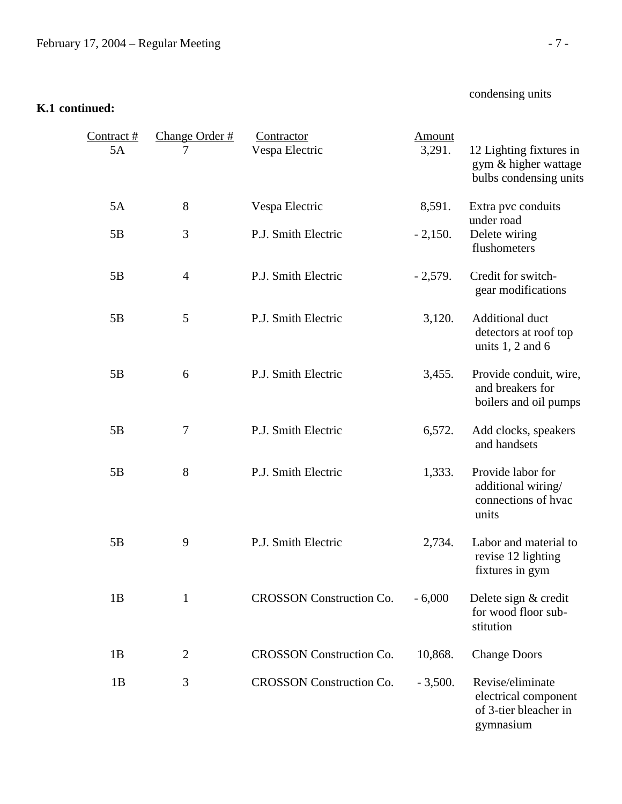# **K.1 continued:**

condensing units

| Contract # | Change Order # | Contractor                      | Amount    |                                                                                |
|------------|----------------|---------------------------------|-----------|--------------------------------------------------------------------------------|
| 5A         | 7              | Vespa Electric                  | 3,291.    | 12 Lighting fixtures in<br>gym & higher wattage<br>bulbs condensing units      |
| 5A         | 8              | Vespa Electric                  | 8,591.    | Extra pvc conduits<br>under road                                               |
| 5B         | 3              | P.J. Smith Electric             | $-2,150.$ | Delete wiring<br>flushometers                                                  |
| 5B         | $\overline{4}$ | P.J. Smith Electric             | $-2,579.$ | Credit for switch-<br>gear modifications                                       |
| 5B         | 5              | P.J. Smith Electric             | 3,120.    | Additional duct<br>detectors at roof top<br>units $1, 2$ and $6$               |
| 5B         | 6              | P.J. Smith Electric             | 3,455.    | Provide conduit, wire,<br>and breakers for<br>boilers and oil pumps            |
| 5B         | 7              | P.J. Smith Electric             | 6,572.    | Add clocks, speakers<br>and handsets                                           |
| 5B         | 8              | P.J. Smith Electric             | 1,333.    | Provide labor for<br>additional wiring/<br>connections of hyac<br>units        |
| 5B         | 9              | P.J. Smith Electric             | 2,734.    | Labor and material to<br>revise 12 lighting<br>fixtures in gym                 |
| 1B         | 1              | <b>CROSSON</b> Construction Co. | $-6,000$  | Delete sign & credit<br>for wood floor sub-<br>stitution                       |
| 1B         | $\overline{2}$ | <b>CROSSON</b> Construction Co. | 10,868.   | <b>Change Doors</b>                                                            |
| 1B         | 3              | <b>CROSSON</b> Construction Co. | $-3,500.$ | Revise/eliminate<br>electrical component<br>of 3-tier bleacher in<br>gymnasium |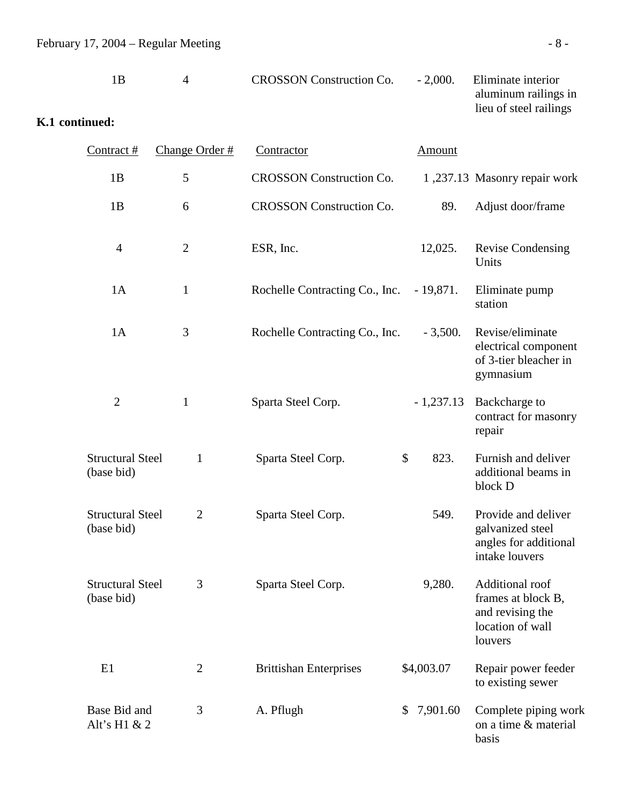|                | 1B                                    | 4              | <b>CROSSON</b> Construction Co. | $-2,000.$      | Eliminate interior<br>aluminum railings in<br>lieu of steel railings                     |
|----------------|---------------------------------------|----------------|---------------------------------|----------------|------------------------------------------------------------------------------------------|
| K.1 continued: |                                       |                |                                 |                |                                                                                          |
|                | Contract #                            | Change Order # | Contractor                      | Amount         |                                                                                          |
|                | 1B                                    | 5              | <b>CROSSON</b> Construction Co. |                | 1,237.13 Masonry repair work                                                             |
|                | 1B                                    | 6              | <b>CROSSON</b> Construction Co. | 89.            | Adjust door/frame                                                                        |
|                | $\overline{4}$                        | $\mathbf{2}$   | ESR, Inc.                       | 12,025.        | <b>Revise Condensing</b><br>Units                                                        |
|                | 1A                                    | $\mathbf{1}$   | Rochelle Contracting Co., Inc.  | $-19,871.$     | Eliminate pump<br>station                                                                |
|                | 1A                                    | 3              | Rochelle Contracting Co., Inc.  | $-3,500.$      | Revise/eliminate<br>electrical component<br>of 3-tier bleacher in<br>gymnasium           |
|                | $\overline{2}$                        | $\mathbf{1}$   | Sparta Steel Corp.              | $-1,237.13$    | Backcharge to<br>contract for masonry<br>repair                                          |
|                | <b>Structural Steel</b><br>(base bid) | $\mathbf{1}$   | Sparta Steel Corp.              | \$<br>823.     | Furnish and deliver<br>additional beams in<br>block D                                    |
|                | <b>Structural Steel</b><br>(base bid) | $\mathbf{2}$   | Sparta Steel Corp.              | 549.           | Provide and deliver<br>galvanized steel<br>angles for additional<br>intake louvers       |
|                | <b>Structural Steel</b><br>(base bid) | $\mathfrak{Z}$ | Sparta Steel Corp.              | 9,280.         | Additional roof<br>frames at block B,<br>and revising the<br>location of wall<br>louvers |
|                | E1                                    | $\overline{2}$ | <b>Brittishan Enterprises</b>   | \$4,003.07     | Repair power feeder<br>to existing sewer                                                 |
|                | Base Bid and<br>Alt's H1 & 2          | 3              | A. Pflugh                       | 7,901.60<br>\$ | Complete piping work<br>on a time & material<br>basis                                    |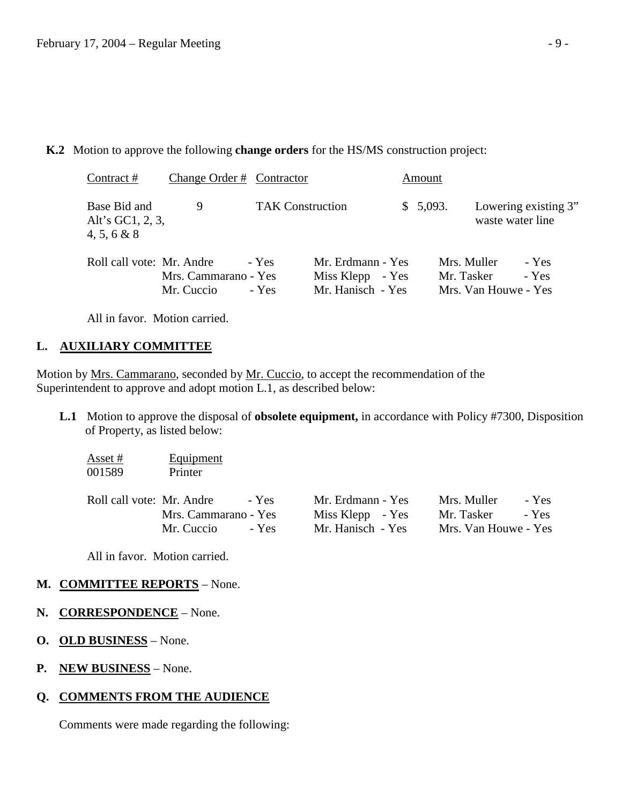#### **K.2** Motion to approve the following **change orders** for the HS/MS construction project:

| Contract#                                       | Change Order # Contractor          |                         |                                                            | Amount                    |                      |                      |
|-------------------------------------------------|------------------------------------|-------------------------|------------------------------------------------------------|---------------------------|----------------------|----------------------|
| Base Bid and<br>Alt's GC1, 2, 3,<br>4, 5, 6 & 8 | 9                                  | <b>TAK Construction</b> |                                                            | \$5,093.                  | waste water line     | Lowering existing 3" |
| Roll call vote: Mr. Andre                       | Mrs. Cammarano - Yes<br>Mr. Cuccio | - Yes<br>- Yes          | Mr. Erdmann - Yes<br>Miss Klepp - Yes<br>Mr. Hanisch - Yes | Mrs. Muller<br>Mr. Tasker | Mrs. Van Houwe - Yes | - Yes<br>$- Yes$     |

All in favor. Motion carried.

### **L. AUXILIARY COMMITTEE**

Motion by Mrs. Cammarano, seconded by Mr. Cuccio, to accept the recommendation of the Superintendent to approve and adopt motion L.1, as described below:

 **L.1** Motion to approve the disposal of **obsolete equipment,** in accordance with Policy #7300, Disposition of Property, as listed below:

| Asset #                   | Equipment            |       |                   |                      |       |
|---------------------------|----------------------|-------|-------------------|----------------------|-------|
| 001589                    | Printer              |       |                   |                      |       |
|                           |                      |       |                   |                      |       |
| Roll call vote: Mr. Andre |                      | - Yes | Mr. Erdmann - Yes | Mrs. Muller          | - Yes |
|                           | Mrs. Cammarano - Yes |       | Miss Klepp - Yes  | Mr. Tasker           | - Yes |
|                           | Mr. Cuccio           | - Yes | Mr. Hanisch - Yes | Mrs. Van Houwe - Yes |       |

All in favor. Motion carried.

#### **M. COMMITTEE REPORTS** – None.

- **N. CORRESPONDENCE** None.
- **O. OLD BUSINESS** None.
- **P. NEW BUSINESS** None.

#### **Q. COMMENTS FROM THE AUDIENCE**

Comments were made regarding the following: